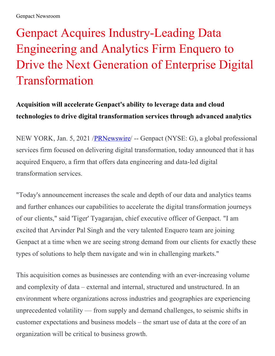# Genpact Acquires Industry-Leading Data Engineering and Analytics Firm Enquero to Drive the Next Generation of Enterprise Digital Transformation

# **Acquisition will accelerate Genpact's ability to leverage data and cloud technologies to drive digital transformation services through advanced analytics**

NEW YORK, Jan. 5, 2021 [/PRNewswire](http://www.prnewswire.com/)/ -- Genpact (NYSE: G), a global professional services firm focused on delivering digital transformation, today announced that it has acquired Enquero, a firm that offers data engineering and data-led digital transformation services.

"Today's announcement increases the scale and depth of our data and analytics teams and further enhances our capabilities to accelerate the digital transformation journeys of our clients," said 'Tiger' Tyagarajan, chief executive officer of Genpact. "I am excited that Arvinder Pal Singh and the very talented Enquero team are joining Genpact at a time when we are seeing strong demand from our clients for exactly these types of solutions to help them navigate and win in challenging markets."

This acquisition comes as businesses are contending with an ever-increasing volume and complexity of data – external and internal, structured and unstructured. In an environment where organizations across industries and geographies are experiencing unprecedented volatility — from supply and demand challenges, to seismic shifts in customer expectations and business models – the smart use of data at the core of an organization will be critical to business growth.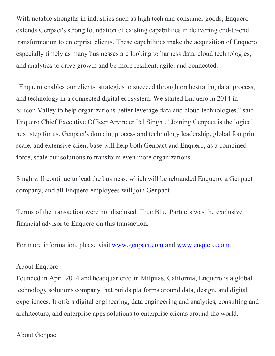With notable strengths in industries such as high tech and consumer goods, Enquero extends Genpact's strong foundation of existing capabilities in delivering end-to-end transformation to enterprise clients. These capabilities make the acquisition of Enquero especially timely as many businesses are looking to harness data, cloud technologies, and analytics to drive growth and be more resilient, agile, and connected.

"Enquero enables our clients' strategies to succeed through orchestrating data, process, and technology in a connected digital ecosystem. We started Enquero in 2014 in Silicon Valley to help organizations better leverage data and cloud technologies," said Enquero Chief Executive Officer Arvinder Pal Singh . "Joining Genpact is the logical next step for us. Genpact's domain, process and technology leadership, global footprint, scale, and extensive client base will help both Genpact and Enquero, as a combined force, scale our solutions to transform even more organizations."

Singh will continue to lead the business, which will be rebranded Enquero, a Genpact company, and all Enquero employees will join Genpact.

Terms of the transaction were not disclosed. True Blue Partners was the exclusive financial advisor to Enquero on this transaction.

For more information, please visit [www.genpact.com](https://c212.net/c/link/?t=0&l=en&o=3025802-1&h=3807180882&u=http%3A%2F%2Fwww.genpact.com%2F&a=www.genpact.com) and [www.enquero.com](https://c212.net/c/link/?t=0&l=en&o=3025802-1&h=50613605&u=http%3A%2F%2Fwww.enquero.com%2F&a=www.enquero.com).

#### About Enquero

Founded in April 2014 and headquartered in Milpitas, California, Enquero is a global technology solutions company that builds platforms around data, design, and digital experiences. It offers digital engineering, data engineering and analytics, consulting and architecture, and enterprise apps solutions to enterprise clients around the world.

### About Genpact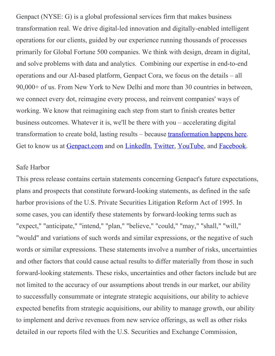Genpact (NYSE: G) is a global professional services firm that makes business transformation real. We drive digital-led innovation and digitally-enabled intelligent operations for our clients, guided by our experience running thousands of processes primarily for Global Fortune 500 companies. We think with design, dream in digital, and solve problems with data and analytics. Combining our expertise in end-to-end operations and our AI-based platform, Genpact Cora, we focus on the details – all 90,000+ of us. From New York to New Delhi and more than 30 countries in between, we connect every dot, reimagine every process, and reinvent companies' ways of working. We know that reimagining each step from start to finish creates better business outcomes. Whatever it is, we'll be there with you – accelerating digital transformation to create bold, lasting results – because [transformation](https://c212.net/c/link/?t=0&l=en&o=3025802-1&h=3139608260&u=https%3A%2F%2Fwww.genpact.com%2F&a=transformation+happens+here) happens here. Get to know us at [Genpact.com](https://c212.net/c/link/?t=0&l=en&o=3025802-1&h=221164664&u=https%3A%2F%2Fwww.genpact.com%2F&a=Genpact.com) and on [LinkedIn](https://c212.net/c/link/?t=0&l=en&o=3025802-1&h=2663506126&u=http%3A%2F%2Fwww.linkedin.com%2Fcompany%2F210064%3Ftrk%3Dtyah&a=LinkedIn), [Twitter](https://c212.net/c/link/?t=0&l=en&o=3025802-1&h=1845182720&u=https%3A%2F%2Ftwitter.com%2Fgenpact&a=Twitter), [YouTube](https://c212.net/c/link/?t=0&l=en&o=3025802-1&h=3972876241&u=https%3A%2F%2Fwww.youtube.com%2Fuser%2FGenpactLtd&a=YouTube), and [Facebook](https://c212.net/c/link/?t=0&l=en&o=3025802-1&h=3723397448&u=http%3A%2F%2Fwww.facebook.com%2Fpages%2FGenpact%2F105635026136729&a=Facebook).

#### Safe Harbor

This press release contains certain statements concerning Genpact's future expectations, plans and prospects that constitute forward-looking statements, as defined in the safe harbor provisions of the U.S. Private Securities Litigation Reform Act of 1995. In some cases, you can identify these statements by forward-looking terms such as "expect," "anticipate," "intend," "plan," "believe," "could," "may," "shall," "will," "would" and variations of such words and similar expressions, or the negative of such words or similar expressions. These statements involve a number of risks, uncertainties and other factors that could cause actual results to differ materially from those in such forward-looking statements. These risks, uncertainties and other factors include but are not limited to the accuracy of our assumptions about trends in our market, our ability to successfully consummate or integrate strategic acquisitions, our ability to achieve expected benefits from strategic acquisitions, our ability to manage growth, our ability to implement and derive revenues from new service offerings, as well as other risks detailed in our reports filed with the U.S. Securities and Exchange Commission,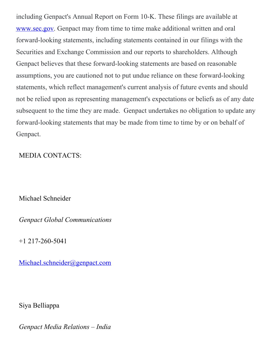including Genpact's Annual Report on Form 10-K. These filings are available at [www.sec.gov.](http://www.sec.gov) Genpact may from time to time make additional written and oral forward-looking statements, including statements contained in our filings with the Securities and Exchange Commission and our reports to shareholders. Although Genpact believes that these forward-looking statements are based on reasonable assumptions, you are cautioned not to put undue reliance on these forward-looking statements, which reflect management's current analysis of future events and should not be relied upon as representing management's expectations or beliefs as of any date subsequent to the time they are made. Genpact undertakes no obligation to update any forward-looking statements that may be made from time to time by or on behalf of Genpact.

## MEDIA CONTACTS:

Michael Schneider

*Genpact Global Communications*

+1 217-260-5041

[Michael.schneider@genpact.com](mailto:Michael.schneider@genpact.com)

Siya Belliappa

*Genpact Media Relations – India*